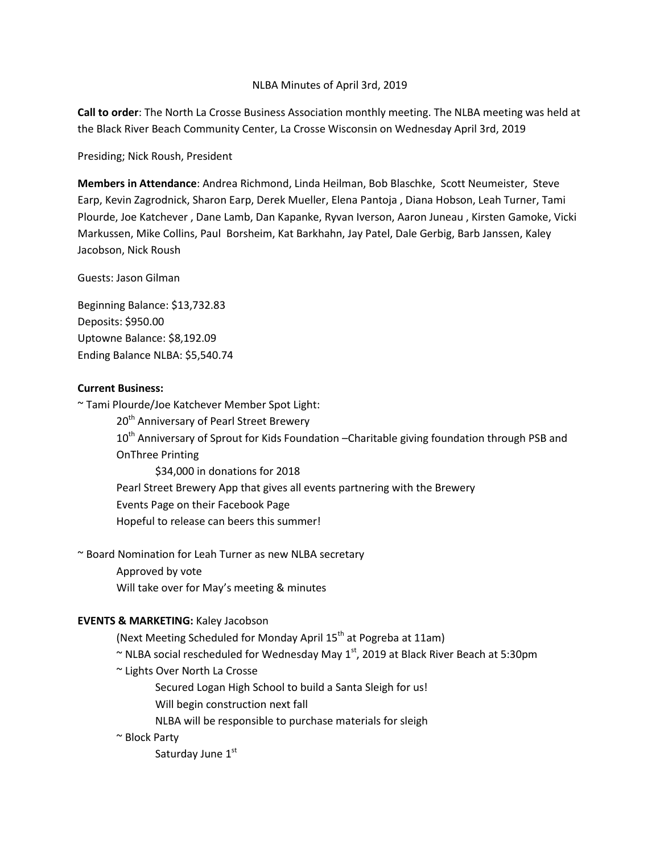#### NLBA Minutes of April 3rd, 2019

**Call to order**: The North La Crosse Business Association monthly meeting. The NLBA meeting was held at the Black River Beach Community Center, La Crosse Wisconsin on Wednesday April 3rd, 2019

Presiding; Nick Roush, President

**Members in Attendance**: Andrea Richmond, Linda Heilman, Bob Blaschke, Scott Neumeister, Steve Earp, Kevin Zagrodnick, Sharon Earp, Derek Mueller, Elena Pantoja , Diana Hobson, Leah Turner, Tami Plourde, Joe Katchever , Dane Lamb, Dan Kapanke, Ryvan Iverson, Aaron Juneau , Kirsten Gamoke, Vicki Markussen, Mike Collins, Paul Borsheim, Kat Barkhahn, Jay Patel, Dale Gerbig, Barb Janssen, Kaley Jacobson, Nick Roush

Guests: Jason Gilman

Beginning Balance: \$13,732.83 Deposits: \$950.00 Uptowne Balance: \$8,192.09 Ending Balance NLBA: \$5,540.74

#### **Current Business:**

~ Tami Plourde/Joe Katchever Member Spot Light: 20<sup>th</sup> Anniversary of Pearl Street Brewery 10<sup>th</sup> Anniversary of Sprout for Kids Foundation - Charitable giving foundation through PSB and OnThree Printing \$34,000 in donations for 2018 Pearl Street Brewery App that gives all events partnering with the Brewery

Events Page on their Facebook Page

Hopeful to release can beers this summer!

~ Board Nomination for Leah Turner as new NLBA secretary

Approved by vote

Will take over for May's meeting & minutes

## **EVENTS & MARKETING:** Kaley Jacobson

(Next Meeting Scheduled for Monday April 15<sup>th</sup> at Pogreba at 11am)

 $\sim$  NLBA social rescheduled for Wednesday May 1st, 2019 at Black River Beach at 5:30pm

~ Lights Over North La Crosse

Secured Logan High School to build a Santa Sleigh for us!

Will begin construction next fall

NLBA will be responsible to purchase materials for sleigh

~ Block Party

Saturday June 1st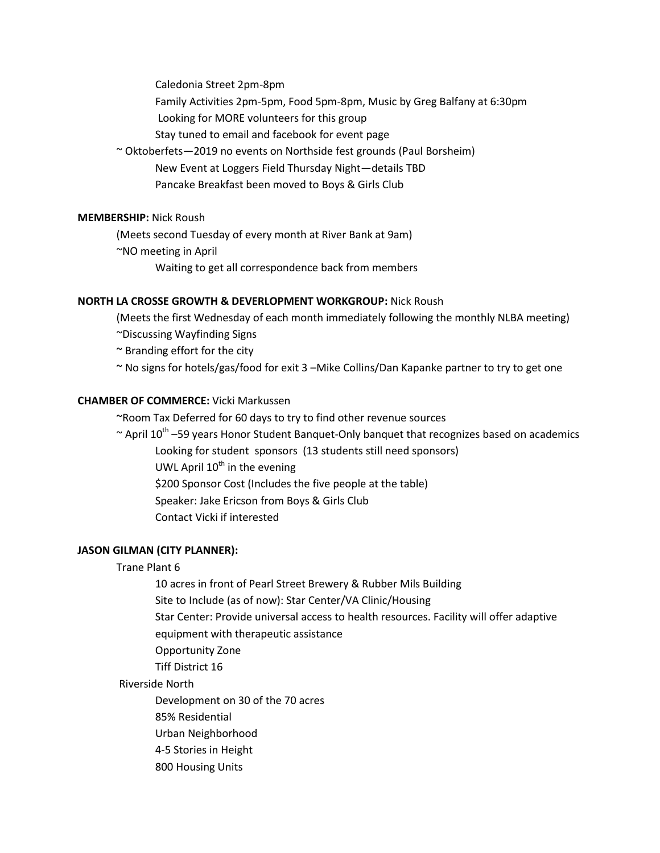Caledonia Street 2pm-8pm

Family Activities 2pm-5pm, Food 5pm-8pm, Music by Greg Balfany at 6:30pm

Looking for MORE volunteers for this group

Stay tuned to email and facebook for event page

~ Oktoberfets—2019 no events on Northside fest grounds (Paul Borsheim) New Event at Loggers Field Thursday Night—details TBD Pancake Breakfast been moved to Boys & Girls Club

## **MEMBERSHIP:** Nick Roush

(Meets second Tuesday of every month at River Bank at 9am)

~NO meeting in April

Waiting to get all correspondence back from members

# **NORTH LA CROSSE GROWTH & DEVERLOPMENT WORKGROUP:** Nick Roush

(Meets the first Wednesday of each month immediately following the monthly NLBA meeting)

~Discussing Wayfinding Signs

~ Branding effort for the city

~ No signs for hotels/gas/food for exit 3 –Mike Collins/Dan Kapanke partner to try to get one

## **CHAMBER OF COMMERCE:** Vicki Markussen

~Room Tax Deferred for 60 days to try to find other revenue sources

 $\sim$  April 10<sup>th</sup> –59 years Honor Student Banquet-Only banquet that recognizes based on academics

Looking for student sponsors (13 students still need sponsors) UWL April  $10^{th}$  in the evening \$200 Sponsor Cost (Includes the five people at the table) Speaker: Jake Ericson from Boys & Girls Club Contact Vicki if interested

# **JASON GILMAN (CITY PLANNER):**

# Trane Plant 6

10 acres in front of Pearl Street Brewery & Rubber Mils Building

Site to Include (as of now): Star Center/VA Clinic/Housing

Star Center: Provide universal access to health resources. Facility will offer adaptive

equipment with therapeutic assistance

Opportunity Zone

Tiff District 16

#### Riverside North

Development on 30 of the 70 acres

85% Residential

Urban Neighborhood

4-5 Stories in Height

800 Housing Units